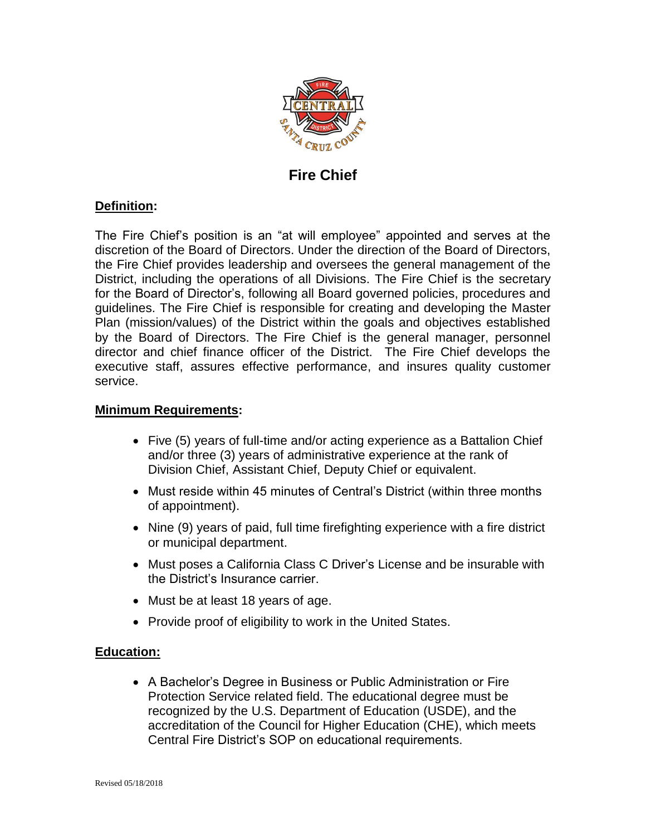

# **Fire Chief**

# **Definition:**

The Fire Chief's position is an "at will employee" appointed and serves at the discretion of the Board of Directors. Under the direction of the Board of Directors, the Fire Chief provides leadership and oversees the general management of the District, including the operations of all Divisions. The Fire Chief is the secretary for the Board of Director's, following all Board governed policies, procedures and guidelines. The Fire Chief is responsible for creating and developing the Master Plan (mission/values) of the District within the goals and objectives established by the Board of Directors. The Fire Chief is the general manager, personnel director and chief finance officer of the District. The Fire Chief develops the executive staff, assures effective performance, and insures quality customer service.

#### **Minimum Requirements:**

- Five (5) years of full-time and/or acting experience as a Battalion Chief and/or three (3) years of administrative experience at the rank of Division Chief, Assistant Chief, Deputy Chief or equivalent.
- Must reside within 45 minutes of Central's District (within three months of appointment).
- Nine (9) years of paid, full time firefighting experience with a fire district or municipal department.
- Must poses a California Class C Driver's License and be insurable with the District's Insurance carrier.
- Must be at least 18 years of age.
- Provide proof of eligibility to work in the United States.

# **Education:**

 A Bachelor's Degree in Business or Public Administration or Fire Protection Service related field. The educational degree must be recognized by the U.S. Department of Education (USDE), and the accreditation of the Council for Higher Education (CHE), which meets Central Fire District's SOP on educational requirements.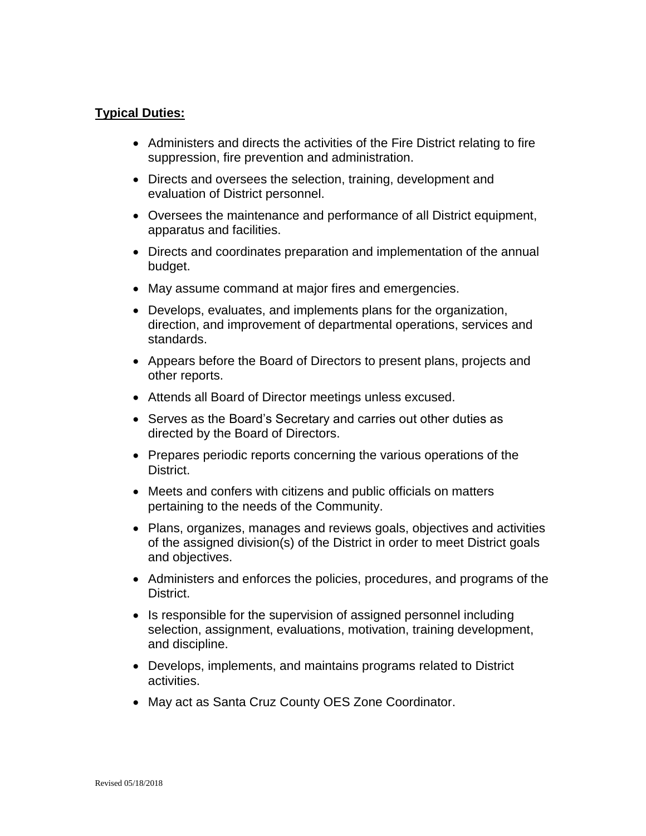# **Typical Duties:**

- Administers and directs the activities of the Fire District relating to fire suppression, fire prevention and administration.
- Directs and oversees the selection, training, development and evaluation of District personnel.
- Oversees the maintenance and performance of all District equipment, apparatus and facilities.
- Directs and coordinates preparation and implementation of the annual budget.
- May assume command at major fires and emergencies.
- Develops, evaluates, and implements plans for the organization, direction, and improvement of departmental operations, services and standards.
- Appears before the Board of Directors to present plans, projects and other reports.
- Attends all Board of Director meetings unless excused.
- Serves as the Board's Secretary and carries out other duties as directed by the Board of Directors.
- Prepares periodic reports concerning the various operations of the District.
- Meets and confers with citizens and public officials on matters pertaining to the needs of the Community.
- Plans, organizes, manages and reviews goals, objectives and activities of the assigned division(s) of the District in order to meet District goals and objectives.
- Administers and enforces the policies, procedures, and programs of the District.
- Is responsible for the supervision of assigned personnel including selection, assignment, evaluations, motivation, training development, and discipline.
- Develops, implements, and maintains programs related to District activities.
- May act as Santa Cruz County OES Zone Coordinator.